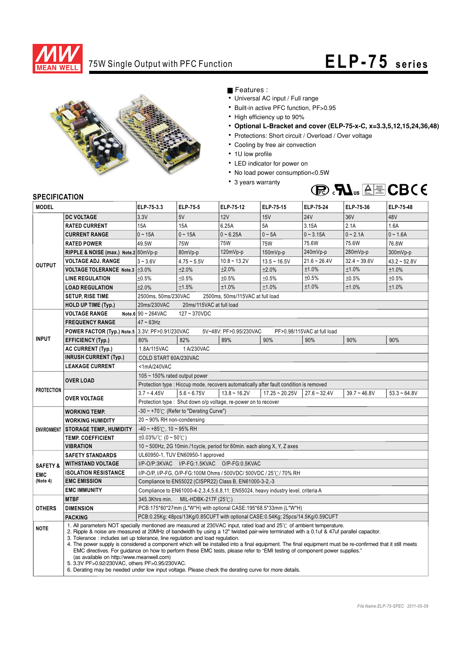

## 75W Single Output with PFC Function **ELP- 75 series**



Features :

- Universal AC input / Full range
- Built-in active PFC function, PF>0.95
- High efficiency up to 90%
- **Optional L-Bracket and cover (ELP-75-x-C, x=3.3,5,12,15,24,36,48)**
- Protections: Short circuit / Overload / Over voltage
- Cooling by free air convection
- 1U low profile
- LED indicator for power on
- No load power consumption<0.5W
- 3 years warranty



## **SPECIFICATION**

| <b>MODEL</b>        |                                                                                                                                                                                                                                                                                                                                                                                                                                                                                                                                                                                                                                                                                                                                                                                                                                                     | ELP-75-3.3                                                                             | ELP-75-5      | ELP-75-12              | ELP-75-15        | ELP-75-24                   | ELP-75-36      | ELP-75-48         |
|---------------------|-----------------------------------------------------------------------------------------------------------------------------------------------------------------------------------------------------------------------------------------------------------------------------------------------------------------------------------------------------------------------------------------------------------------------------------------------------------------------------------------------------------------------------------------------------------------------------------------------------------------------------------------------------------------------------------------------------------------------------------------------------------------------------------------------------------------------------------------------------|----------------------------------------------------------------------------------------|---------------|------------------------|------------------|-----------------------------|----------------|-------------------|
|                     | <b>DC VOLTAGE</b>                                                                                                                                                                                                                                                                                                                                                                                                                                                                                                                                                                                                                                                                                                                                                                                                                                   | 3.3V                                                                                   | 5V            | 12V                    | 15V              | <b>24V</b>                  | 36V            | 48V               |
| <b>OUTPUT</b>       | <b>RATED CURRENT</b>                                                                                                                                                                                                                                                                                                                                                                                                                                                                                                                                                                                                                                                                                                                                                                                                                                | 15A                                                                                    | 15A           | 6.25A                  | 5A               | 3.15A                       | 2.1A           | 1.6A              |
|                     | <b>CURRENT RANGE</b>                                                                                                                                                                                                                                                                                                                                                                                                                                                                                                                                                                                                                                                                                                                                                                                                                                | $0 - 15A$                                                                              | $0 - 15A$     | $0 - 6.25A$            | $0 - 5A$         | $0 - 3.15A$                 | $0 - 2.1A$     | $0 - 1.6A$        |
|                     | <b>RATED POWER</b>                                                                                                                                                                                                                                                                                                                                                                                                                                                                                                                                                                                                                                                                                                                                                                                                                                  | 49.5W                                                                                  | <b>75W</b>    | <b>75W</b>             | <b>75W</b>       | 75.6W                       | 75.6W          | 76.8W             |
|                     | RIPPLE & NOISE (max.) Note.2 80mVp-p                                                                                                                                                                                                                                                                                                                                                                                                                                                                                                                                                                                                                                                                                                                                                                                                                |                                                                                        | 80mVp-p       | 120mVp-p               | $150mVp-p$       | 240mVp-p                    | 280mVp-p       | 300mVp-p          |
|                     | <b>VOLTAGE ADJ. RANGE</b>                                                                                                                                                                                                                                                                                                                                                                                                                                                                                                                                                                                                                                                                                                                                                                                                                           | $3 - 3.6V$                                                                             | $4.75 - 5.5V$ | $10.8 - 13.2V$         | $13.5 - 16.5V$   | $21.6 - 26.4V$              | $32.4 - 39.6V$ | $43.2 \div 52.8V$ |
|                     | VOLTAGE TOLERANCE Note.3   ±3.0%                                                                                                                                                                                                                                                                                                                                                                                                                                                                                                                                                                                                                                                                                                                                                                                                                    |                                                                                        | ±2.0%         | ±2.0%                  | ±2.0%            | ±1.0%                       | ±1.0%          | ±1.0%             |
|                     | <b>LINE REGULATION</b>                                                                                                                                                                                                                                                                                                                                                                                                                                                                                                                                                                                                                                                                                                                                                                                                                              | ±0.5%                                                                                  | ±0.5%         | ±0.5%                  | ±0.5%            | ±0.5%                       | ±0.5%          | ±0.5%             |
|                     | <b>LOAD REGULATION</b>                                                                                                                                                                                                                                                                                                                                                                                                                                                                                                                                                                                                                                                                                                                                                                                                                              | ±2.0%                                                                                  | ±1.5%         | ±1.0%                  | ±1.0%            | ±1.0%                       | ±1.0%          | ±1.0%             |
|                     | <b>SETUP, RISE TIME</b>                                                                                                                                                                                                                                                                                                                                                                                                                                                                                                                                                                                                                                                                                                                                                                                                                             | 2500ms, 50ms/230VAC<br>2500ms, 50ms/115VAC at full load                                |               |                        |                  |                             |                |                   |
|                     | <b>HOLD UP TIME (Typ.)</b>                                                                                                                                                                                                                                                                                                                                                                                                                                                                                                                                                                                                                                                                                                                                                                                                                          | 20ms/230VAC<br>20ms/115VAC at full load                                                |               |                        |                  |                             |                |                   |
|                     | <b>VOLTAGE RANGE</b>                                                                                                                                                                                                                                                                                                                                                                                                                                                                                                                                                                                                                                                                                                                                                                                                                                | Note.6 $90 \sim 264$ VAC<br>127~370VDC                                                 |               |                        |                  |                             |                |                   |
| <b>INPUT</b>        | <b>FREQUENCY RANGE</b>                                                                                                                                                                                                                                                                                                                                                                                                                                                                                                                                                                                                                                                                                                                                                                                                                              | $47 - 63$ Hz                                                                           |               |                        |                  |                             |                |                   |
|                     | <b>POWER FACTOR (Typ.) Note.5 3.3V: PF&gt;0.91/230VAC</b>                                                                                                                                                                                                                                                                                                                                                                                                                                                                                                                                                                                                                                                                                                                                                                                           |                                                                                        |               | 5V~48V: PF>0.95/230VAC |                  | PF>0.98/115VAC at full load |                |                   |
|                     | <b>EFFICIENCY (Typ.)</b>                                                                                                                                                                                                                                                                                                                                                                                                                                                                                                                                                                                                                                                                                                                                                                                                                            | 80%                                                                                    | 82%           | 89%                    | 90%              | 90%                         | 90%            | 90%               |
|                     | <b>AC CURRENT (Typ.)</b>                                                                                                                                                                                                                                                                                                                                                                                                                                                                                                                                                                                                                                                                                                                                                                                                                            | 1 A/230VAC<br>1.8A/115VAC                                                              |               |                        |                  |                             |                |                   |
|                     | <b>INRUSH CURRENT (Typ.)</b>                                                                                                                                                                                                                                                                                                                                                                                                                                                                                                                                                                                                                                                                                                                                                                                                                        | COLD START 60A/230VAC                                                                  |               |                        |                  |                             |                |                   |
|                     | <b>LEAKAGE CURRENT</b>                                                                                                                                                                                                                                                                                                                                                                                                                                                                                                                                                                                                                                                                                                                                                                                                                              | <1mA/240VAC                                                                            |               |                        |                  |                             |                |                   |
| <b>PROTECTION</b>   |                                                                                                                                                                                                                                                                                                                                                                                                                                                                                                                                                                                                                                                                                                                                                                                                                                                     | 105 ~ 150% rated output power                                                          |               |                        |                  |                             |                |                   |
|                     | <b>OVER LOAD</b>                                                                                                                                                                                                                                                                                                                                                                                                                                                                                                                                                                                                                                                                                                                                                                                                                                    | Protection type : Hiccup mode, recovers automatically after fault condition is removed |               |                        |                  |                             |                |                   |
|                     | <b>OVER VOLTAGE</b>                                                                                                                                                                                                                                                                                                                                                                                                                                                                                                                                                                                                                                                                                                                                                                                                                                 | $3.7 - 4.45V$                                                                          | $5.6 - 6.75V$ | $13.8 - 16.2V$         | $17.25 - 20.25V$ | $27.6 - 32.4V$              | $39.7 - 46.8V$ | $53.3 - 64.8V$    |
|                     |                                                                                                                                                                                                                                                                                                                                                                                                                                                                                                                                                                                                                                                                                                                                                                                                                                                     | Protection type: Shut down o/p voltage, re-power on to recover                         |               |                        |                  |                             |                |                   |
| <b>ENVIRONMENT</b>  | <b>WORKING TEMP.</b>                                                                                                                                                                                                                                                                                                                                                                                                                                                                                                                                                                                                                                                                                                                                                                                                                                | $-30 \sim +70^{\circ}$ (Refer to "Derating Curve")                                     |               |                        |                  |                             |                |                   |
|                     | <b>WORKING HUMIDITY</b>                                                                                                                                                                                                                                                                                                                                                                                                                                                                                                                                                                                                                                                                                                                                                                                                                             | 20~90% RH non-condensing                                                               |               |                        |                  |                             |                |                   |
|                     | <b>STORAGE TEMP., HUMIDITY</b>                                                                                                                                                                                                                                                                                                                                                                                                                                                                                                                                                                                                                                                                                                                                                                                                                      | $-40 \sim +85^{\circ}$ C, 10 ~ 95% RH                                                  |               |                        |                  |                             |                |                   |
|                     | <b>TEMP. COEFFICIENT</b>                                                                                                                                                                                                                                                                                                                                                                                                                                                                                                                                                                                                                                                                                                                                                                                                                            | $\pm 0.03\%$ (0 ~ 50°C)                                                                |               |                        |                  |                             |                |                   |
|                     | <b>VIBRATION</b>                                                                                                                                                                                                                                                                                                                                                                                                                                                                                                                                                                                                                                                                                                                                                                                                                                    | 10 ~ 500Hz, 2G 10min./1cycle, period for 60min. each along X, Y, Z axes                |               |                        |                  |                             |                |                   |
|                     | <b>SAFETY STANDARDS</b>                                                                                                                                                                                                                                                                                                                                                                                                                                                                                                                                                                                                                                                                                                                                                                                                                             | UL60950-1, TUV EN60950-1 approved                                                      |               |                        |                  |                             |                |                   |
| <b>SAFETY &amp;</b> | <b>WITHSTAND VOLTAGE</b>                                                                                                                                                                                                                                                                                                                                                                                                                                                                                                                                                                                                                                                                                                                                                                                                                            | I/P-O/P:3KVAC I/P-FG:1.5KVAC O/P-FG:0.5KVAC                                            |               |                        |                  |                             |                |                   |
| <b>EMC</b>          | <b>ISOLATION RESISTANCE</b><br>I/P-O/P, I/P-FG, O/P-FG:100M Ohms / 500VDC/ 500VDC / 25°C / 70% RH<br><b>EMC EMISSION</b><br>Compliance to EN55022 (CISPR22) Class B, EN61000-3-2,-3                                                                                                                                                                                                                                                                                                                                                                                                                                                                                                                                                                                                                                                                 |                                                                                        |               |                        |                  |                             |                |                   |
| (Note 4)            |                                                                                                                                                                                                                                                                                                                                                                                                                                                                                                                                                                                                                                                                                                                                                                                                                                                     |                                                                                        |               |                        |                  |                             |                |                   |
|                     | <b>EMC IMMUNITY</b>                                                                                                                                                                                                                                                                                                                                                                                                                                                                                                                                                                                                                                                                                                                                                                                                                                 | Compliance to EN61000-4-2,3,4,5,6,8,11; EN55024, heavy industry level, criteria A      |               |                        |                  |                             |                |                   |
|                     | <b>MTBF</b>                                                                                                                                                                                                                                                                                                                                                                                                                                                                                                                                                                                                                                                                                                                                                                                                                                         | MIL-HDBK-217F (25℃)<br>345.3Khrs min.                                                  |               |                        |                  |                             |                |                   |
| <b>OTHERS</b>       | <b>DIMENSION</b>                                                                                                                                                                                                                                                                                                                                                                                                                                                                                                                                                                                                                                                                                                                                                                                                                                    | PCB:175*60*27mm (L*W*H) with optional CASE:195*68.5*33mm (L*W*H)                       |               |                        |                  |                             |                |                   |
|                     | <b>PACKING</b>                                                                                                                                                                                                                                                                                                                                                                                                                                                                                                                                                                                                                                                                                                                                                                                                                                      | PCB:0.25Kg; 48pcs/13Kg/0.85CUFT with optional CASE:0.54Kg; 25pcs/14.5Kg/0.59CUFT       |               |                        |                  |                             |                |                   |
| <b>NOTE</b>         | 1. All parameters NOT specially mentioned are measured at 230VAC input, rated load and 25°C of ambient temperature.<br>2. Ripple & noise are measured at 20MHz of bandwidth by using a 12" twisted pair-wire terminated with a 0.1uf & 47uf parallel capacitor.<br>3. Tolerance: includes set up tolerance, line regulation and load regulation.<br>4. The power supply is considered a component which will be installed into a final equipment. The final equipment must be re-confirmed that it still meets<br>EMC directives. For guidance on how to perform these EMC tests, please refer to "EMI testing of component power supplies."<br>(as available on http://www.meanwell.com)<br>5. 3.3V PF>0.92/230VAC, others PF>0.95/230VAC.<br>6. Derating may be needed under low input voltage. Please check the derating curve for more details. |                                                                                        |               |                        |                  |                             |                |                   |